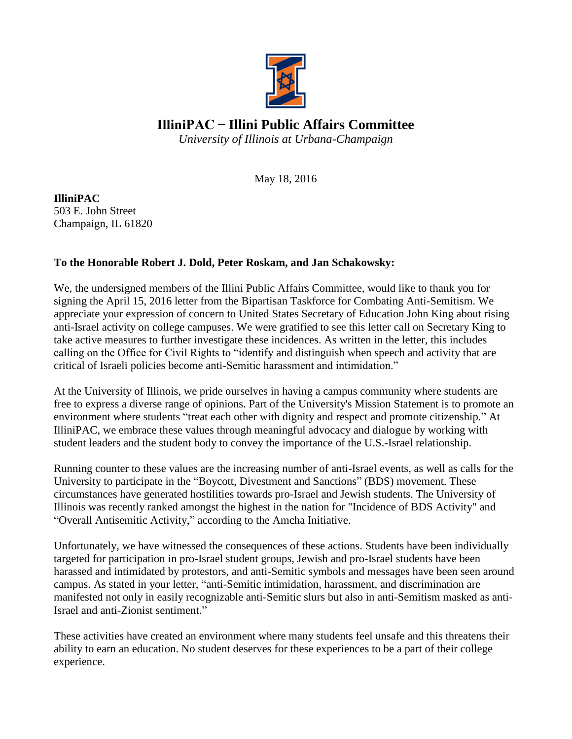

## **IlliniPAC ̶ Illini Public Affairs Committee**

*University of Illinois at Urbana-Champaign*

May 18, 2016

**IlliniPAC** 503 E. John Street Champaign, IL 61820

## **To the Honorable Robert J. Dold, Peter Roskam, and Jan Schakowsky:**

We, the undersigned members of the Illini Public Affairs Committee, would like to thank you for signing the April 15, 2016 letter from the Bipartisan Taskforce for Combating Anti-Semitism. We appreciate your expression of concern to United States Secretary of Education John King about rising anti-Israel activity on college campuses. We were gratified to see this letter call on Secretary King to take active measures to further investigate these incidences. As written in the letter, this includes calling on the Office for Civil Rights to "identify and distinguish when speech and activity that are critical of Israeli policies become anti-Semitic harassment and intimidation."

At the University of Illinois, we pride ourselves in having a campus community where students are free to express a diverse range of opinions. Part of the University's Mission Statement is to promote an environment where students "treat each other with dignity and respect and promote citizenship." At IlliniPAC, we embrace these values through meaningful advocacy and dialogue by working with student leaders and the student body to convey the importance of the U.S.-Israel relationship.

Running counter to these values are the increasing number of anti-Israel events, as well as calls for the University to participate in the "Boycott, Divestment and Sanctions" (BDS) movement. These circumstances have generated hostilities towards pro-Israel and Jewish students. The University of Illinois was recently ranked amongst the highest in the nation for "Incidence of BDS Activity" and "Overall Antisemitic Activity," according to the Amcha Initiative.

Unfortunately, we have witnessed the consequences of these actions. Students have been individually targeted for participation in pro-Israel student groups, Jewish and pro-Israel students have been harassed and intimidated by protestors, and anti-Semitic symbols and messages have been seen around campus. As stated in your letter, "anti-Semitic intimidation, harassment, and discrimination are manifested not only in easily recognizable anti-Semitic slurs but also in anti-Semitism masked as anti-Israel and anti-Zionist sentiment."

These activities have created an environment where many students feel unsafe and this threatens their ability to earn an education. No student deserves for these experiences to be a part of their college experience.